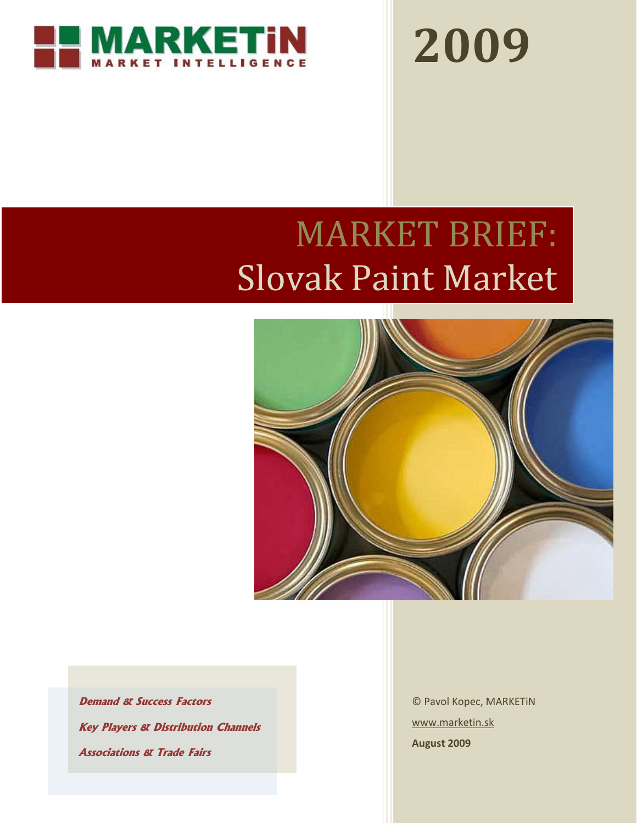

**2009**

# MARKET BRIEF: Slovak Paint Market



**Demand & Success Factors Key Players & Distribution Channels Associations & Trade Fairs**

© Pavol Kopec, MARKETiN [www.marketin.sk](http://www.marketin.sk/) **August 2009**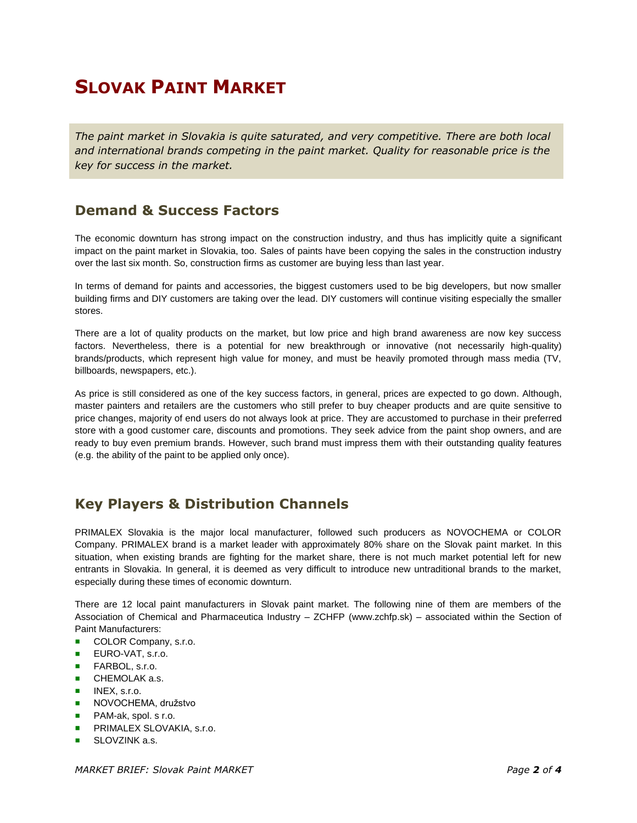# **SLOVAK PAINT MARKET**

*The paint market in Slovakia is quite saturated, and very competitive. There are both local and international brands competing in the paint market. Quality for reasonable price is the key for success in the market.*

## **Demand & Success Factors**

The economic downturn has strong impact on the construction industry, and thus has implicitly quite a significant impact on the paint market in Slovakia, too. Sales of paints have been copying the sales in the construction industry over the last six month. So, construction firms as customer are buying less than last year.

In terms of demand for paints and accessories, the biggest customers used to be big developers, but now smaller building firms and DIY customers are taking over the lead. DIY customers will continue visiting especially the smaller stores.

There are a lot of quality products on the market, but low price and high brand awareness are now key success factors. Nevertheless, there is a potential for new breakthrough or innovative (not necessarily high-quality) brands/products, which represent high value for money, and must be heavily promoted through mass media (TV, billboards, newspapers, etc.).

As price is still considered as one of the key success factors, in general, prices are expected to go down. Although, master painters and retailers are the customers who still prefer to buy cheaper products and are quite sensitive to price changes, majority of end users do not always look at price. They are accustomed to purchase in their preferred store with a good customer care, discounts and promotions. They seek advice from the paint shop owners, and are ready to buy even premium brands. However, such brand must impress them with their outstanding quality features (e.g. the ability of the paint to be applied only once).

## **Key Players & Distribution Channels**

PRIMALEX Slovakia is the major local manufacturer, followed such producers as NOVOCHEMA or COLOR Company. PRIMALEX brand is a market leader with approximately 80% share on the Slovak paint market. In this situation, when existing brands are fighting for the market share, there is not much market potential left for new entrants in Slovakia. In general, it is deemed as very difficult to introduce new untraditional brands to the market, especially during these times of economic downturn.

There are 12 local paint manufacturers in Slovak paint market. The following nine of them are members of the Association of Chemical and Pharmaceutica Industry – ZCHFP [\(www.zchfp.sk\)](http://www.zchfp.sk/) – associated within the Section of Paint Manufacturers:

- COLOR Company, s.r.o.
- **EURO-VAT, s.r.o.**
- **FARBOL, s.r.o.**
- **CHEMOLAK a.s.**
- $INEX. s.r.o.$
- **NOVOCHEMA, družstvo**
- **PAM-ak, spol. s r.o.**
- **PRIMALEX SLOVAKIA, s.r.o.**
- SLOVZINK a.s.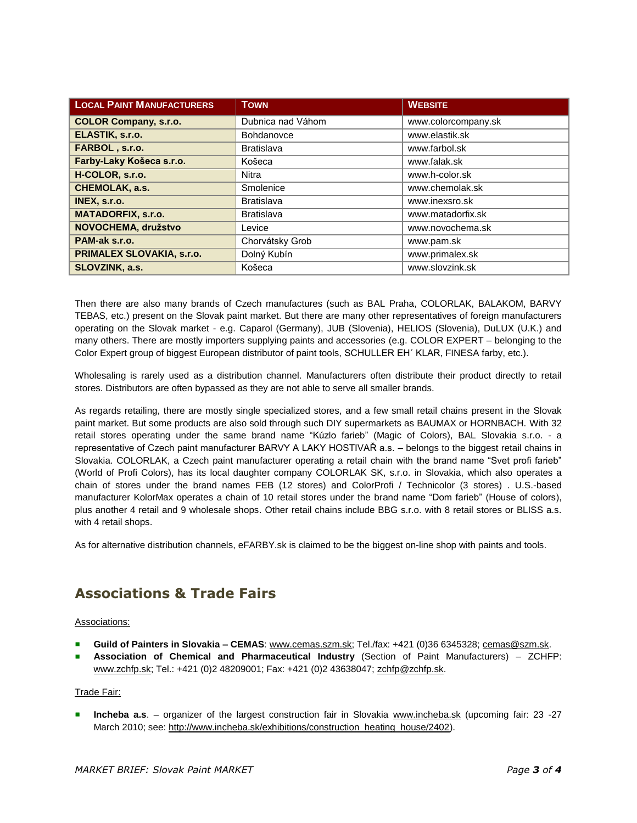| <b>LOCAL PAINT MANUFACTURERS</b> | <b>TOWN</b>       | <b>WEBSITE</b>      |
|----------------------------------|-------------------|---------------------|
| <b>COLOR Company, s.r.o.</b>     | Dubnica nad Váhom | www.colorcompany.sk |
| ELASTIK, s.r.o.                  | Bohdanovce        | www.elastik.sk      |
| FARBOL, s.r.o.                   | <b>Bratislava</b> | www.farbol.sk       |
| Farby-Laky Košeca s.r.o.         | Košeca            | www.falak.sk        |
| H-COLOR, s.r.o.                  | <b>Nitra</b>      | www.h-color.sk      |
| <b>CHEMOLAK, a.s.</b>            | Smolenice         | www.chemolak.sk     |
| INEX, s.r.o.                     | <b>Bratislava</b> | www.inexsro.sk      |
| <b>MATADORFIX, s.r.o.</b>        | <b>Bratislava</b> | www.matadorfix.sk   |
| NOVOCHEMA, družstvo              | Levice            | www.novochema.sk    |
| PAM-ak s.r.o.                    | Chorvátsky Grob   | www.pam.sk          |
| PRIMALEX SLOVAKIA, s.r.o.        | Dolný Kubín       | www.primalex.sk     |
| SLOVZINK, a.s.                   | Košeca            | www.slovzink.sk     |

Then there are also many brands of Czech manufactures (such as BAL Praha, COLORLAK, BALAKOM, BARVY TEBAS, etc.) present on the Slovak paint market. But there are many other representatives of foreign manufacturers operating on the Slovak market - e.g. Caparol (Germany), JUB (Slovenia), HELIOS (Slovenia), DuLUX (U.K.) and many others. There are mostly importers supplying paints and accessories (e.g. COLOR EXPERT – belonging to the Color Expert group of biggest European distributor of paint tools, SCHULLER EH´ KLAR, FINESA farby, etc.).

Wholesaling is rarely used as a distribution channel. Manufacturers often distribute their product directly to retail stores. Distributors are often bypassed as they are not able to serve all smaller brands.

As regards retailing, there are mostly single specialized stores, and a few small retail chains present in the Slovak paint market. But some products are also sold through such DIY supermarkets as BAUMAX or HORNBACH. With 32 retail stores operating under the same brand name "Kúzlo farieb" (Magic of Colors), BAL Slovakia s.r.o. - a representative of Czech paint manufacturer BARVY A LAKY HOSTIVAŘ a.s. – belongs to the biggest retail chains in Slovakia. COLORLAK, a Czech paint manufacturer operating a retail chain with the brand name "Svet profi farieb" (World of Profi Colors), has its local daughter company COLORLAK SK, s.r.o. in Slovakia, which also operates a chain of stores under the brand names FEB (12 stores) and ColorProfi / Technicolor (3 stores) . U.S.-based manufacturer KolorMax operates a chain of 10 retail stores under the brand name "Dom farieb" (House of colors), plus another 4 retail and 9 wholesale shops. Other retail chains include BBG s.r.o. with 8 retail stores or BLISS a.s. with 4 retail shops.

As for alternative distribution channels, eFARBY.sk is claimed to be the biggest on-line shop with paints and tools.

## **Associations & Trade Fairs**

#### Associations:

- **Guild of Painters in Slovakia – CEMAS**: [www.cemas.szm.sk;](http://www.cemas.szm.sk/) Tel./fax: +421 (0)36 6345328; [cemas@szm.sk.](mailto:cemas@szm.sk)
- **Association of Chemical and Pharmaceutical Industry** (Section of Paint Manufacturers) ZCHFP: [www.zchfp.sk;](http://www.zchfp.sk/) Tel.: +421 (0)2 48209001; Fax: +421 (0)2 43638047; [zchfp@zchfp.sk.](mailto:zchfp@zchfp.sk)

#### Trade Fair:

**Incheba a.s**. – organizer of the largest construction fair in Slovakia [www.incheba.sk](http://www.incheba.sk/) (upcoming fair: 23 -27 March 2010; see: [http://www.incheba.sk/exhibitions/construction\\_heating\\_house/2402\)](http://www.incheba.sk/exhibitions/construction_heating_house/2402).